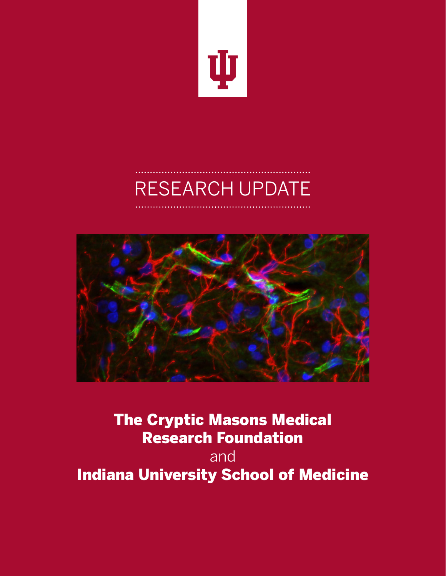

# RESEARCH UPDATE



The Cryptic Masons Medical Research Foundation and Indiana University School of Medicine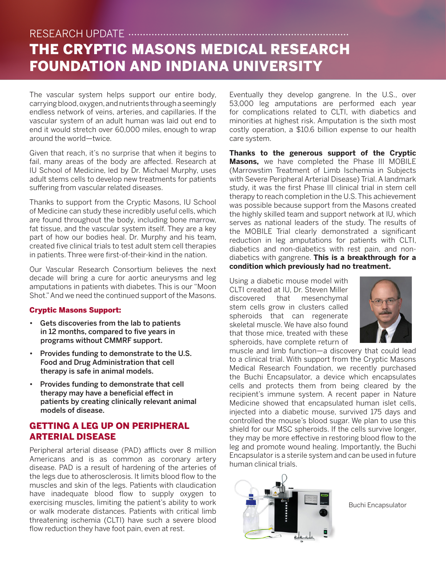## THE CRYPTIC MASONS MEDICAL RESEARCH FOUNDATION AND INDIANA UNIVERSITY RESEARCH UPDATE

The vascular system helps support our entire body, carrying blood, oxygen, and nutrients through a seemingly endless network of veins, arteries, and capillaries. If the vascular system of an adult human was laid out end to end it would stretch over 60,000 miles, enough to wrap around the world—twice.

Given that reach, it's no surprise that when it begins to fail, many areas of the body are affected. Research at IU School of Medicine, led by Dr. Michael Murphy, uses adult stems cells to develop new treatments for patients suffering from vascular related diseases.

Thanks to support from the Cryptic Masons, IU School of Medicine can study these incredibly useful cells, which are found throughout the body, including bone marrow, fat tissue, and the vascular system itself. They are a key part of how our bodies heal. Dr. Murphy and his team, created five clinical trials to test adult stem cell therapies in patients. Three were first-of-their-kind in the nation.

Our Vascular Research Consortium believes the next decade will bring a cure for aortic aneurysms and leg amputations in patients with diabetes. This is our "Moon Shot." And we need the continued support of the Masons.

#### Cryptic Masons Support:

- Gets discoveries from the lab to patients in 12 months, compared to five years in programs without CMMRF support.
- Provides funding to demonstrate to the U.S. Food and Drug Administration that cell therapy is safe in animal models.
- Provides funding to demonstrate that cell therapy may have a beneficial effect in patients by creating clinically relevant animal models of disease.

#### GETTING A LEG UP ON PERIPHERAL ARTERIAL DISEASE

Peripheral arterial disease (PAD) afflicts over 8 million Americans and is as common as coronary artery disease. PAD is a result of hardening of the arteries of the legs due to atherosclerosis. It limits blood flow to the muscles and skin of the legs. Patients with claudication have inadequate blood flow to supply oxygen to exercising muscles, limiting the patient's ability to work or walk moderate distances. Patients with critical limb threatening ischemia (CLTI) have such a severe blood flow reduction they have foot pain, even at rest.

Eventually they develop gangrene. In the U.S., over 53,000 leg amputations are performed each year for complications related to CLTI, with diabetics and minorities at highest risk. Amputation is the sixth most costly operation, a \$10.6 billion expense to our health care system.

**Thanks to the generous support of the Cryptic Masons,** we have completed the Phase III MOBILE (Marrowstim Treatment of Limb Ischemia in Subjects with Severe Peripheral Arterial Disease) Trial. A landmark study, it was the first Phase III clinical trial in stem cell therapy to reach completion in the U.S. This achievement was possible because support from the Masons created the highly skilled team and support network at IU, which serves as national leaders of the study. The results of the MOBILE Trial clearly demonstrated a significant reduction in leg amputations for patients with CLTI, diabetics and non-diabetics with rest pain, and nondiabetics with gangrene. **This is a breakthrough for a condition which previously had no treatment.**

Using a diabetic mouse model with CLTI created at IU, Dr. Steven Miller discovered that mesenchymal stem cells grow in clusters called spheroids that can regenerate skeletal muscle. We have also found that those mice, treated with these spheroids, have complete return of



muscle and limb function—a discovery that could lead to a clinical trial. With support from the Cryptic Masons Medical Research Foundation, we recently purchased the Buchi Encapsulator, a device which encapsulates cells and protects them from being cleared by the recipient's immune system. A recent paper in Nature Medicine showed that encapsulated human islet cells, injected into a diabetic mouse, survived 175 days and controlled the mouse's blood sugar. We plan to use this shield for our MSC spheroids. If the cells survive longer, they may be more effective in restoring blood flow to the leg and promote wound healing. Importantly, the Buchi Encapsulator is a sterile system and can be used in future human clinical trials.



Buchi Encapsulator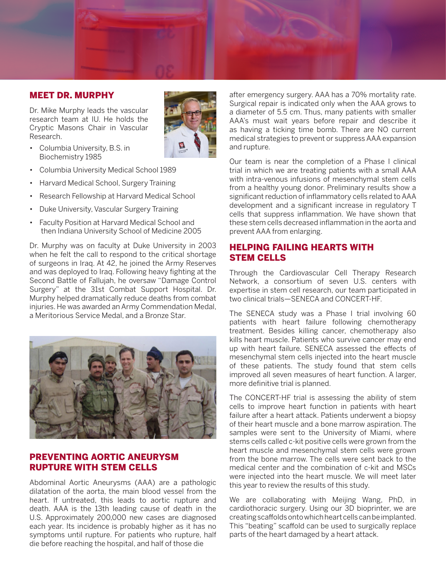#### MEET DR. MURPHY

Dr. Mike Murphy leads the vascular research team at IU. He holds the Cryptic Masons Chair in Vascular Research.



- Columbia University, B.S. in Biochemistry 1985
- Columbia University Medical School 1989
- Harvard Medical School, Surgery Training
- Research Fellowship at Harvard Medical School
- Duke University, Vascular Surgery Training
- Faculty Position at Harvard Medical School and then Indiana University School of Medicine 2005

Dr. Murphy was on faculty at Duke University in 2003 when he felt the call to respond to the critical shortage of surgeons in Iraq. At 42, he joined the Army Reserves and was deployed to Iraq. Following heavy fighting at the Second Battle of Fallujah, he oversaw "Damage Control Surgery" at the 31st Combat Support Hospital. Dr. Murphy helped dramatically reduce deaths from combat injuries. He was awarded an Army Commendation Medal, a Meritorious Service Medal, and a Bronze Star.



#### PREVENTING AORTIC ANEURYSM RUPTURE WITH STEM CELLS

Abdominal Aortic Aneurysms (AAA) are a pathologic dilatation of the aorta, the main blood vessel from the heart. If untreated, this leads to aortic rupture and death. AAA is the 13th leading cause of death in the U.S. Approximately 200,000 new cases are diagnosed each year. Its incidence is probably higher as it has no symptoms until rupture. For patients who rupture, half die before reaching the hospital, and half of those die

after emergency surgery. AAA has a 70% mortality rate. Surgical repair is indicated only when the AAA grows to a diameter of 5.5 cm. Thus, many patients with smaller AAA's must wait years before repair and describe it as having a ticking time bomb. There are NO current medical strategies to prevent or suppress AAA expansion and rupture.

Our team is near the completion of a Phase I clinical trial in which we are treating patients with a small AAA with intra-venous infusions of mesenchymal stem cells from a healthy young donor. Preliminary results show a significant reduction of inflammatory cells related to AAA development and a significant increase in regulatory T cells that suppress inflammation. We have shown that these stem cells decreased inflammation in the aorta and prevent AAA from enlarging.

#### HELPING FAILING HEARTS WITH STEM CELLS

Through the Cardiovascular Cell Therapy Research Network, a consortium of seven U.S. centers with expertise in stem cell research, our team participated in two clinical trials—SENECA and CONCERT-HF.

The SENECA study was a Phase I trial involving 60 patients with heart failure following chemotherapy treatment. Besides killing cancer, chemotherapy also kills heart muscle. Patients who survive cancer may end up with heart failure. SENECA assessed the effects of mesenchymal stem cells injected into the heart muscle of these patients. The study found that stem cells improved all seven measures of heart function. A larger, more definitive trial is planned.

The CONCERT-HF trial is assessing the ability of stem cells to improve heart function in patients with heart failure after a heart attack. Patients underwent a biopsy of their heart muscle and a bone marrow aspiration. The samples were sent to the University of Miami, where stems cells called c-kit positive cells were grown from the heart muscle and mesenchymal stem cells were grown from the bone marrow. The cells were sent back to the medical center and the combination of c-kit and MSCs were injected into the heart muscle. We will meet later this year to review the results of this study.

We are collaborating with Meijing Wang, PhD, in cardiothoracic surgery. Using our 3D bioprinter, we are creating scaffolds onto which heart cells can be implanted. This "beating" scaffold can be used to surgically replace parts of the heart damaged by a heart attack.